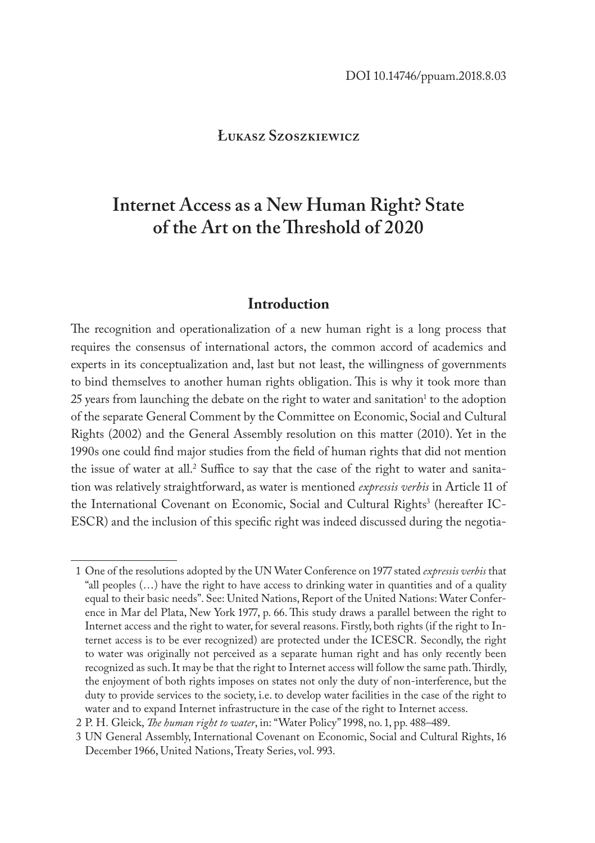### **Łukasz Szoszkiewicz**

# **Internet Access as a New Human Right? State of the Art on the Threshold of 2020**

### **Introduction**

The recognition and operationalization of a new human right is a long process that requires the consensus of international actors, the common accord of academics and experts in its conceptualization and, last but not least, the willingness of governments to bind themselves to another human rights obligation. This is why it took more than  $25$  years from launching the debate on the right to water and sanitation $^1$  to the adoption of the separate General Comment by the Committee on Economic, Social and Cultural Rights (2002) and the General Assembly resolution on this matter (2010). Yet in the 1990s one could find major studies from the field of human rights that did not mention the issue of water at all.<sup>2</sup> Suffice to say that the case of the right to water and sanitation was relatively straightforward, as water is mentioned *expressis verbis* in Article 11 of the International Covenant on Economic, Social and Cultural Rights<sup>3</sup> (hereafter IC-ESCR) and the inclusion of this specific right was indeed discussed during the negotia-

<sup>1</sup> One of the resolutions adopted by the UN Water Conference on 1977 stated *expressis verbis* that "all peoples  $(...)$  have the right to have access to drinking water in quantities and of a quality equal to their basic needs". See: United Nations, Report of the United Nations: Water Conference in Mar del Plata, New York 1977, p. 66. This study draws a parallel between the right to Internet access and the right to water, for several reasons. Firstly, both rights (if the right to Internet access is to be ever recognized) are protected under the ICESCR. Secondly, the right to water was originally not perceived as a separate human right and has only recently been recognized as such. It may be that the right to Internet access will follow the same path. Thirdly, the enjoyment of both rights imposes on states not only the duty of non-interference, but the duty to provide services to the society, i.e. to develop water facilities in the case of the right to water and to expand Internet infrastructure in the case of the right to Internet access.

<sup>2</sup> P. H. Gleick, *The human right to water*, in: "Water Policy" 1998, no. 1, pp. 488–489.

<sup>3</sup> UN General Assembly, International Covenant on Economic, Social and Cultural Rights, 16 December 1966, United Nations, Treaty Series, vol. 993.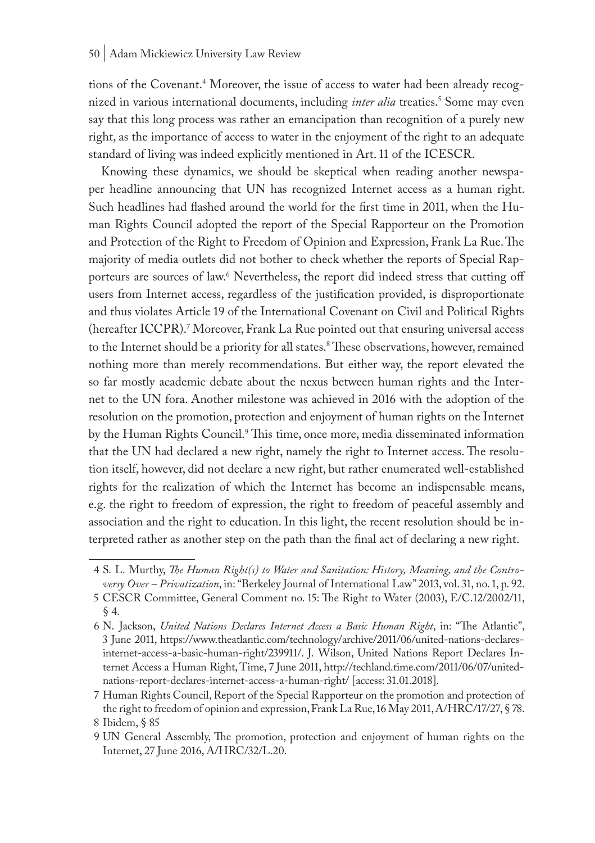#### 50 | Adam Mickiewicz University Law Review

tions of the Covenant.<sup>4</sup> Moreover, the issue of access to water had been already recognized in various international documents, including *inter alia* treaties.<sup>5</sup> Some may even say that this long process was rather an emancipation than recognition of a purely new right, as the importance of access to water in the enjoyment of the right to an adequate standard of living was indeed explicitly mentioned in Art. 11 of the ICESCR.

Knowing these dynamics, we should be skeptical when reading another newspaper headline announcing that UN has recognized Internet access as a human right. Such headlines had flashed around the world for the first time in 2011, when the Human Rights Council adopted the report of the Special Rapporteur on the Promotion and Protection of the Right to Freedom of Opinion and Expression, Frank La Rue. The majority of media outlets did not bother to check whether the reports of Special Rapporteurs are sources of law.6 Nevertheless, the report did indeed stress that cutting off users from Internet access, regardless of the justification provided, is disproportionate and thus violates Article 19 of the International Covenant on Civil and Political Rights (hereafter ICCPR).7 Moreover, Frank La Rue pointed out that ensuring universal access to the Internet should be a priority for all states.<sup>8</sup>These observations, however, remained nothing more than merely recommendations. But either way, the report elevated the so far mostly academic debate about the nexus between human rights and the Internet to the UN fora. Another milestone was achieved in 2016 with the adoption of the resolution on the promotion, protection and enjoyment of human rights on the Internet by the Human Rights Council.<sup>9</sup> This time, once more, media disseminated information that the UN had declared a new right, namely the right to Internet access. The resolution itself, however, did not declare a new right, but rather enumerated well-established rights for the realization of which the Internet has become an indispensable means, e.g. the right to freedom of expression, the right to freedom of peaceful assembly and association and the right to education. In this light, the recent resolution should be interpreted rather as another step on the path than the final act of declaring a new right.

<sup>4</sup> S. L. Murthy, *The Human Right(s) to Water and Sanitation: History, Meaning, and the Controversy Over – Privatization*, in: "Berkeley Journal of International Law" 2013, vol. 31, no. 1, p. 92.

<sup>5</sup> CESCR Committee, General Comment no. 15: The Right to Water (2003), E/C.12/2002/11, § 4.

<sup>6</sup> N. Jackson, *United Nations Declares Internet Access a Basic Human Right*, in: "The Atlantic", 3 June 2011, https://www.theatlantic.com/technology/archive/2011/06/united-nations-declaresinternet-access-a-basic-human-right/239911/. J. Wilson, United Nations Report Declares Internet Access a Human Right, Time, 7 June 2011, http://techland.time.com/2011/06/07/unitednations-report-declares-internet-access-a-human-right/ [access: 31.01.2018].

<sup>7</sup> Human Rights Council, Report of the Special Rapporteur on the promotion and protection of the right to freedom of opinion and expression, Frank La Rue, 16 May 2011, A/HRC/17/27, § 78. 8 Ibidem, § 85

<sup>9</sup> UN General Assembly, The promotion, protection and enjoyment of human rights on the Internet, 27 June 2016, A/HRC/32/L.20.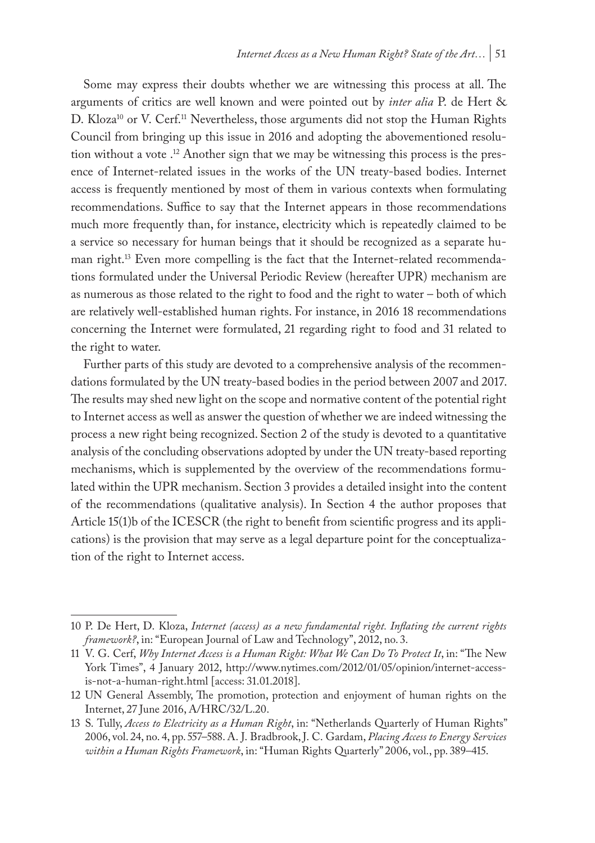Some may express their doubts whether we are witnessing this process at all. The arguments of critics are well known and were pointed out by *inter alia* P. de Hert & D. Kloza<sup>10</sup> or V. Cerf.<sup>11</sup> Nevertheless, those arguments did not stop the Human Rights Council from bringing up this issue in 2016 and adopting the abovementioned resolution without a vote .<sup>12</sup> Another sign that we may be witnessing this process is the presence of Internet-related issues in the works of the UN treaty-based bodies. Internet access is frequently mentioned by most of them in various contexts when formulating recommendations. Suffice to say that the Internet appears in those recommendations much more frequently than, for instance, electricity which is repeatedly claimed to be a service so necessary for human beings that it should be recognized as a separate human right.<sup>13</sup> Even more compelling is the fact that the Internet-related recommendations formulated under the Universal Periodic Review (hereafter UPR) mechanism are as numerous as those related to the right to food and the right to water – both of which are relatively well-established human rights. For instance, in 2016 18 recommendations concerning the Internet were formulated, 21 regarding right to food and 31 related to the right to water.

Further parts of this study are devoted to a comprehensive analysis of the recommendations formulated by the UN treaty-based bodies in the period between 2007 and 2017. The results may shed new light on the scope and normative content of the potential right to Internet access as well as answer the question of whether we are indeed witnessing the process a new right being recognized. Section 2 of the study is devoted to a quantitative analysis of the concluding observations adopted by under the UN treaty-based reporting mechanisms, which is supplemented by the overview of the recommendations formulated within the UPR mechanism. Section 3 provides a detailed insight into the content of the recommendations (qualitative analysis). In Section 4 the author proposes that Article 15(1)b of the ICESCR (the right to benefit from scientific progress and its applications) is the provision that may serve as a legal departure point for the conceptualization of the right to Internet access.

<sup>10</sup> P. De Hert, D. Kloza, *Internet (access) as a new fundamental right. Inflating the current rights framework?*, in: "European Journal of Law and Technology", 2012, no. 3.

<sup>11</sup> V. G. Cerf, *Why Internet Access is a Human Right: What We Can Do To Protect It*, in: "The New York Times", 4 January 2012, http://www.nytimes.com/2012/01/05/opinion/internet-accessis-not-a-human-right.html [access: 31.01.2018].

<sup>12</sup> UN General Assembly, The promotion, protection and enjoyment of human rights on the Internet, 27 June 2016, A/HRC/32/L.20.

<sup>13</sup> S. Tully, *Access to Electricity as a Human Right*, in: "Netherlands Quarterly of Human Rights" 2006, vol. 24, no. 4, pp. 557–588. A. J. Bradbrook, J. C. Gardam, *Placing Access to Energy Services within a Human Rights Framework*, in: "Human Rights Quarterly" 2006, vol., pp. 389–415.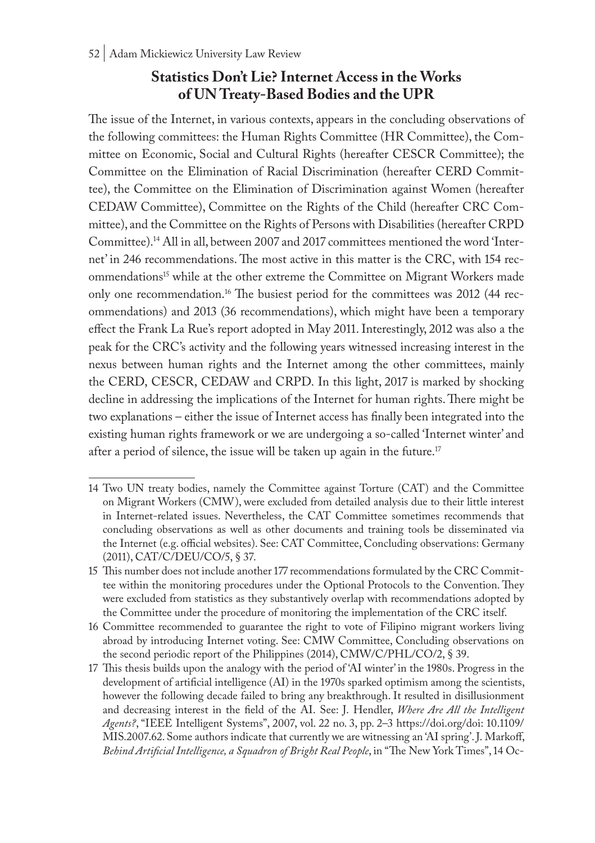# **Statistics Don't Lie? Internet Access in the Works of UN Treaty-Based Bodies and the UPR**

The issue of the Internet, in various contexts, appears in the concluding observations of the following committees: the Human Rights Committee (HR Committee), the Committee on Economic, Social and Cultural Rights (hereafter CESCR Committee); the Committee on the Elimination of Racial Discrimination (hereafter CERD Committee), the Committee on the Elimination of Discrimination against Women (hereafter CEDAW Committee), Committee on the Rights of the Child (hereafter CRC Committee), and the Committee on the Rights of Persons with Disabilities (hereafter CRPD Committee).14 All in all, between 2007 and 2017 committees mentioned the word 'Internet' in 246 recommendations. The most active in this matter is the CRC, with 154 recommendations<sup>15</sup> while at the other extreme the Committee on Migrant Workers made only one recommendation.<sup>16</sup> The busiest period for the committees was 2012 (44 recommendations) and 2013 (36 recommendations), which might have been a temporary effect the Frank La Rue's report adopted in May 2011. Interestingly, 2012 was also a the peak for the CRC's activity and the following years witnessed increasing interest in the nexus between human rights and the Internet among the other committees, mainly the CERD, CESCR, CEDAW and CRPD. In this light, 2017 is marked by shocking decline in addressing the implications of the Internet for human rights. There might be two explanations – either the issue of Internet access has finally been integrated into the existing human rights framework or we are undergoing a so-called 'Internet winter' and after a period of silence, the issue will be taken up again in the future.<sup>17</sup>

<sup>14</sup> Two UN treaty bodies, namely the Committee against Torture (CAT) and the Committee on Migrant Workers (CMW), were excluded from detailed analysis due to their little interest in Internet-related issues. Nevertheless, the CAT Committee sometimes recommends that concluding observations as well as other documents and training tools be disseminated via the Internet (e.g. official websites). See: CAT Committee, Concluding observations: Germany (2011), CAT/C/DEU/CO/5, § 37.

<sup>15</sup> This number does not include another 177 recommendations formulated by the CRC Committee within the monitoring procedures under the Optional Protocols to the Convention. They were excluded from statistics as they substantively overlap with recommendations adopted by the Committee under the procedure of monitoring the implementation of the CRC itself.

<sup>16</sup> Committee recommended to guarantee the right to vote of Filipino migrant workers living abroad by introducing Internet voting. See: CMW Committee, Concluding observations on the second periodic report of the Philippines (2014), CMW/C/PHL/CO/2, § 39.

<sup>17</sup> This thesis builds upon the analogy with the period of 'AI winter' in the 1980s. Progress in the development of artificial intelligence (AI) in the 1970s sparked optimism among the scientists, however the following decade failed to bring any breakthrough. It resulted in disillusionment and decreasing interest in the field of the AI. See: J. Hendler, *Where Are All the Intelligent Agents?*, "IEEE Intelligent Systems", 2007, vol. 22 no. 3, pp. 2–3 https://doi.org/doi: 10.1109/ MIS.2007.62. Some authors indicate that currently we are witnessing an 'AI spring'. J. Markoff, *Behind Artificial Intelligence, a Squadron of Bright Real People*, in "The New York Times", 14 Oc-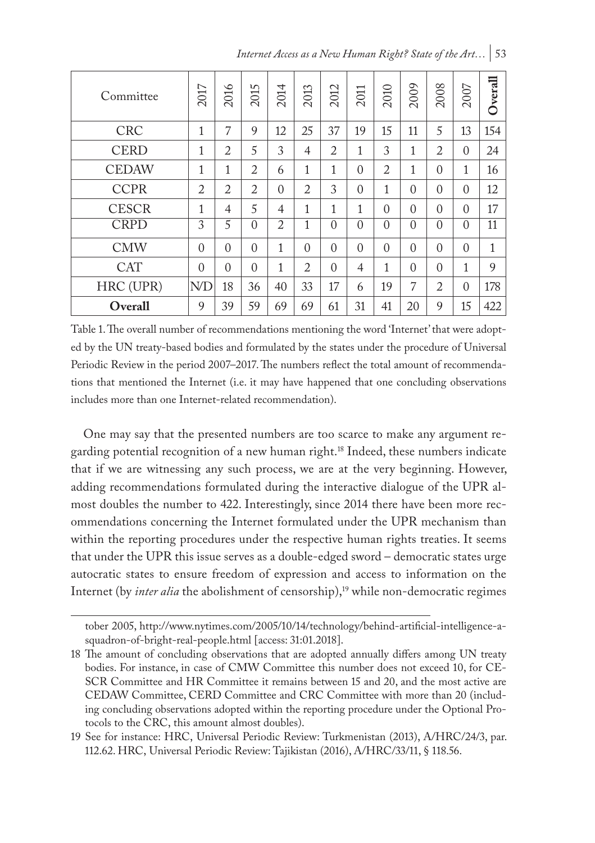*Internet Access as a New Human Right? State of the Art…* | 53

| Committee    | 2017           | 2016           | 2015           | 2014           | 2013           | 2012           | 2011           | 2010           | 2009     | 2008           | 2007         | Overall |
|--------------|----------------|----------------|----------------|----------------|----------------|----------------|----------------|----------------|----------|----------------|--------------|---------|
| <b>CRC</b>   | 1              | 7              | 9              | 12             | 25             | 37             | 19             | 15             | 11       | 5              | 13           | 154     |
| <b>CERD</b>  | 1              | $\overline{2}$ | 5              | 3              | $\overline{4}$ | $\overline{2}$ | $\mathbf{1}$   | 3              | 1        | 2              | $\theta$     | 24      |
| <b>CEDAW</b> | 1              | 1              | 2              | 6              | 1              | 1              | $\theta$       | $\overline{2}$ | 1        | $\theta$       | 1            | 16      |
| <b>CCPR</b>  | $\overline{2}$ | 2              | $\overline{2}$ | $\theta$       | $\overline{2}$ | 3              | $\Omega$       | 1              | $\Omega$ | $\Omega$       | $\theta$     | 12      |
| <b>CESCR</b> | 1              | $\overline{4}$ | $\overline{5}$ | 4              | 1              | 1              | 1              | $\Omega$       | $\Omega$ | $\Omega$       | $\theta$     | 17      |
| <b>CRPD</b>  | 3              | 5              | $\Omega$       | $\overline{2}$ | 1              | $\Omega$       | $\theta$       | $\theta$       | $\Omega$ | $\theta$       | $\theta$     | 11      |
| <b>CMW</b>   | $\theta$       | $\theta$       | $\theta$       | 1              | $\theta$       | $\Omega$       | $\theta$       | $\theta$       | $\Omega$ | $\Omega$       | $\theta$     | 1       |
| <b>CAT</b>   | $\theta$       | $\theta$       | $\theta$       | 1              | $\overline{2}$ | $\Omega$       | $\overline{4}$ | 1              | $\Omega$ | $\Omega$       | $\mathbf{1}$ | 9       |
| HRC (UPR)    | <b>ND</b>      | 18             | 36             | 40             | 33             | 17             | 6              | 19             | 7        | $\overline{2}$ | $\theta$     | 178     |
| Overall      | 9              | 39             | 59             | 69             | 69             | 61             | 31             | 41             | 20       | 9              | 15           | 422     |

Table 1. The overall number of recommendations mentioning the word 'Internet' that were adopted by the UN treaty-based bodies and formulated by the states under the procedure of Universal Periodic Review in the period 2007–2017. The numbers reflect the total amount of recommendations that mentioned the Internet (i.e. it may have happened that one concluding observations includes more than one Internet-related recommendation).

One may say that the presented numbers are too scarce to make any argument regarding potential recognition of a new human right.<sup>18</sup> Indeed, these numbers indicate that if we are witnessing any such process, we are at the very beginning. However, adding recommendations formulated during the interactive dialogue of the UPR almost doubles the number to 422. Interestingly, since 2014 there have been more recommendations concerning the Internet formulated under the UPR mechanism than within the reporting procedures under the respective human rights treaties. It seems that under the UPR this issue serves as a double-edged sword – democratic states urge autocratic states to ensure freedom of expression and access to information on the Internet (by *inter alia* the abolishment of censorship),<sup>19</sup> while non-democratic regimes

tober 2005, http://www.nytimes.com/2005/10/14/technology/behind-artificial-intelligence-asquadron-of-bright-real-people.html [access: 31:01.2018].

<sup>18</sup> The amount of concluding observations that are adopted annually differs among UN treaty bodies. For instance, in case of CMW Committee this number does not exceed 10, for CE-SCR Committee and HR Committee it remains between 15 and 20, and the most active are CEDAW Committee, CERD Committee and CRC Committee with more than 20 (including concluding observations adopted within the reporting procedure under the Optional Protocols to the CRC, this amount almost doubles).

<sup>19</sup> See for instance: HRC, Universal Periodic Review: Turkmenistan (2013), A/HRC/24/3, par. 112.62. HRC, Universal Periodic Review: Tajikistan (2016), A/HRC/33/11, § 118.56.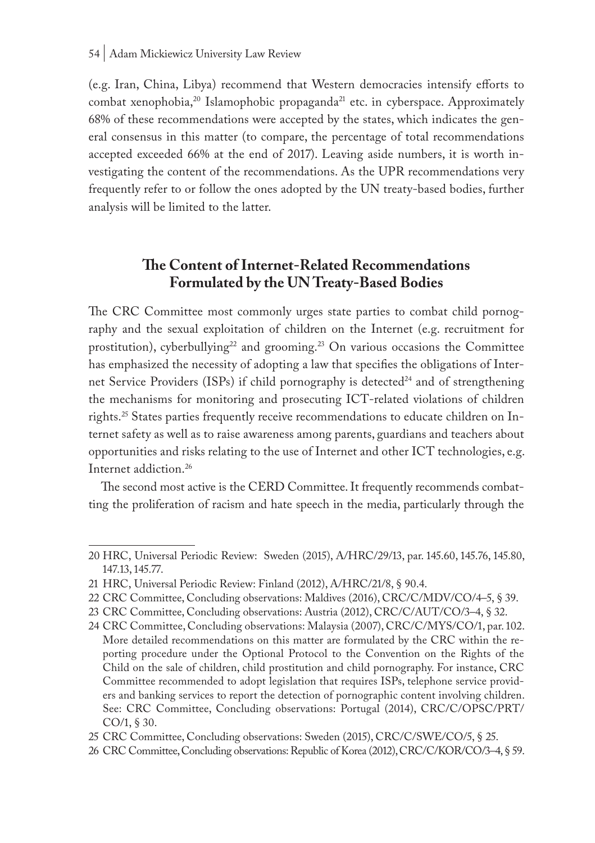(e.g. Iran, China, Libya) recommend that Western democracies intensify efforts to combat xenophobia,<sup>20</sup> Islamophobic propaganda<sup>21</sup> etc. in cyberspace. Approximately 68% of these recommendations were accepted by the states, which indicates the general consensus in this matter (to compare, the percentage of total recommendations accepted exceeded 66% at the end of 2017). Leaving aside numbers, it is worth investigating the content of the recommendations. As the UPR recommendations very frequently refer to or follow the ones adopted by the UN treaty-based bodies, further analysis will be limited to the latter.

# **The Content of Internet-Related Recommendations Formulated by the UN Treaty-Based Bodies**

The CRC Committee most commonly urges state parties to combat child pornography and the sexual exploitation of children on the Internet (e.g. recruitment for prostitution), cyberbullying<sup>22</sup> and grooming.<sup>23</sup> On various occasions the Committee has emphasized the necessity of adopting a law that specifies the obligations of Internet Service Providers (ISPs) if child pornography is detected<sup>24</sup> and of strengthening the mechanisms for monitoring and prosecuting ICT-related violations of children rights.25 States parties frequently receive recommendations to educate children on Internet safety as well as to raise awareness among parents, guardians and teachers about opportunities and risks relating to the use of Internet and other ICT technologies, e.g. Internet addiction.26

The second most active is the CERD Committee. It frequently recommends combatting the proliferation of racism and hate speech in the media, particularly through the

<sup>20</sup> HRC, Universal Periodic Review: Sweden (2015), A/HRC/29/13, par. 145.60, 145.76, 145.80, 147.13, 145.77.

<sup>21</sup> HRC, Universal Periodic Review: Finland (2012), A/HRC/21/8, § 90.4.

<sup>22</sup> CRC Committee, Concluding observations: Maldives (2016), CRC/C/MDV/CO/4–5, § 39.

<sup>23</sup> CRC Committee, Concluding observations: Austria (2012), CRC/C/AUT/CO/3–4, § 32.

<sup>24</sup> CRC Committee, Concluding observations: Malaysia (2007), CRC/C/MYS/CO/1, par. 102. More detailed recommendations on this matter are formulated by the CRC within the reporting procedure under the Optional Protocol to the Convention on the Rights of the Child on the sale of children, child prostitution and child pornography. For instance, CRC Committee recommended to adopt legislation that requires ISPs, telephone service providers and banking services to report the detection of pornographic content involving children. See: CRC Committee, Concluding observations: Portugal (2014), CRC/C/OPSC/PRT/ CO/1, § 30.

<sup>25</sup> CRC Committee, Concluding observations: Sweden (2015), CRC/C/SWE/CO/5, § 25.

<sup>26</sup> CRC Committee, Concluding observations: Republic of Korea (2012), CRC/C/KOR/CO/3–4, § 59.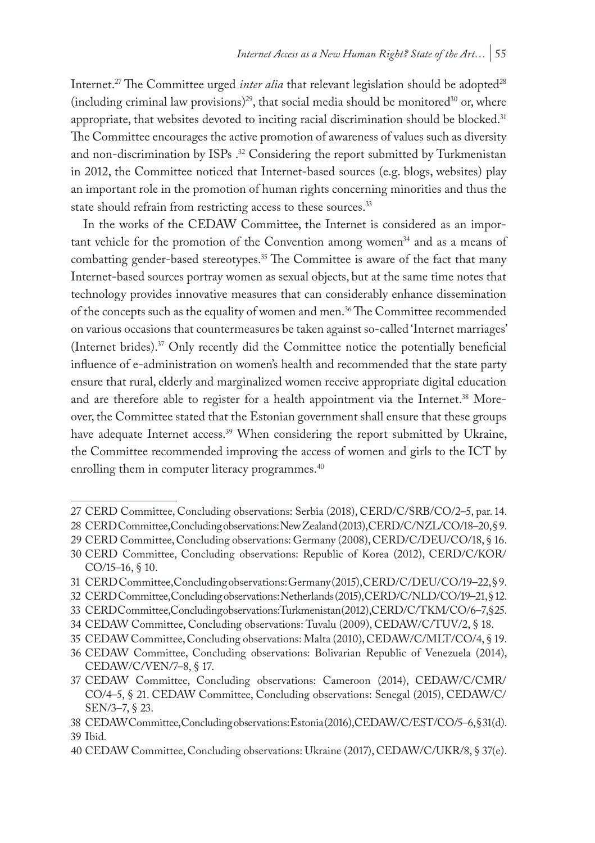Internet.<sup>27</sup> The Committee urged *inter alia* that relevant legislation should be adopted<sup>28</sup> (including criminal law provisions)<sup>29</sup>, that social media should be monitored<sup>30</sup> or, where appropriate, that websites devoted to inciting racial discrimination should be blocked.<sup>31</sup> The Committee encourages the active promotion of awareness of values such as diversity and non-discrimination by ISPs  $.32$  Considering the report submitted by Turkmenistan in 2012, the Committee noticed that Internet-based sources (e.g. blogs, websites) play an important role in the promotion of human rights concerning minorities and thus the state should refrain from restricting access to these sources.<sup>33</sup>

In the works of the CEDAW Committee, the Internet is considered as an important vehicle for the promotion of the Convention among women<sup>34</sup> and as a means of combatting gender-based stereotypes.<sup>35</sup> The Committee is aware of the fact that many Internet-based sources portray women as sexual objects, but at the same time notes that technology provides innovative measures that can considerably enhance dissemination of the concepts such as the equality of women and men.36 The Committee recommended on various occasions that countermeasures be taken against so-called 'Internet marriages' (Internet brides).37 Only recently did the Committee notice the potentially beneficial influence of e-administration on women's health and recommended that the state party ensure that rural, elderly and marginalized women receive appropriate digital education and are therefore able to register for a health appointment via the Internet.<sup>38</sup> Moreover, the Committee stated that the Estonian government shall ensure that these groups have adequate Internet access.<sup>39</sup> When considering the report submitted by Ukraine, the Committee recommended improving the access of women and girls to the ICT by enrolling them in computer literacy programmes.<sup>40</sup>

<sup>27</sup> CERD Committee, Concluding observations: Serbia (2018), CERD/C/SRB/CO/2–5, par. 14.

<sup>28</sup> CERD Committee, Concluding observations: New Zealand (2013), CERD/C/NZL/CO/18–20, § 9.

<sup>29</sup> CERD Committee, Concluding observations: Germany (2008), CERD/C/DEU/CO/18, § 16.

<sup>30</sup> CERD Committee, Concluding observations: Republic of Korea (2012), CERD/C/KOR/ CO/15–16, § 10.

<sup>31</sup> CERD Committee, Concluding observations: Germany (2015), CERD/C/DEU/CO/19–22, § 9.

<sup>32</sup> CERD Committee, Concluding observations: Netherlands (2015), CERD/C/NLD/CO/19–21, § 12.

<sup>33</sup> CERD Committee, Concluding observations: Turkmenistan (2012), CERD/C/TKM/CO/6–7, § 25.

<sup>34</sup> CEDAW Committee, Concluding observations: Tuvalu (2009), CEDAW/C/TUV/2, § 18.

<sup>35</sup> CEDAW Committee, Concluding observations: Malta (2010), CEDAW/C/MLT/CO/4, § 19.

<sup>36</sup> CEDAW Committee, Concluding observations: Bolivarian Republic of Venezuela (2014), CEDAW/C/VEN/7–8, § 17.

<sup>37</sup> CEDAW Committee, Concluding observations: Cameroon (2014), CEDAW/C/CMR/ CO/4–5, § 21. CEDAW Committee, Concluding observations: Senegal (2015), CEDAW/C/ SEN/3–7, § 23.

<sup>38</sup> CEDAW Committee, Concluding observations: Estonia (2016), CEDAW/C/EST/CO/5–6, § 31(d). 39 Ibid*.*

<sup>40</sup> CEDAW Committee, Concluding observations: Ukraine (2017), CEDAW/C/UKR/8, § 37(e).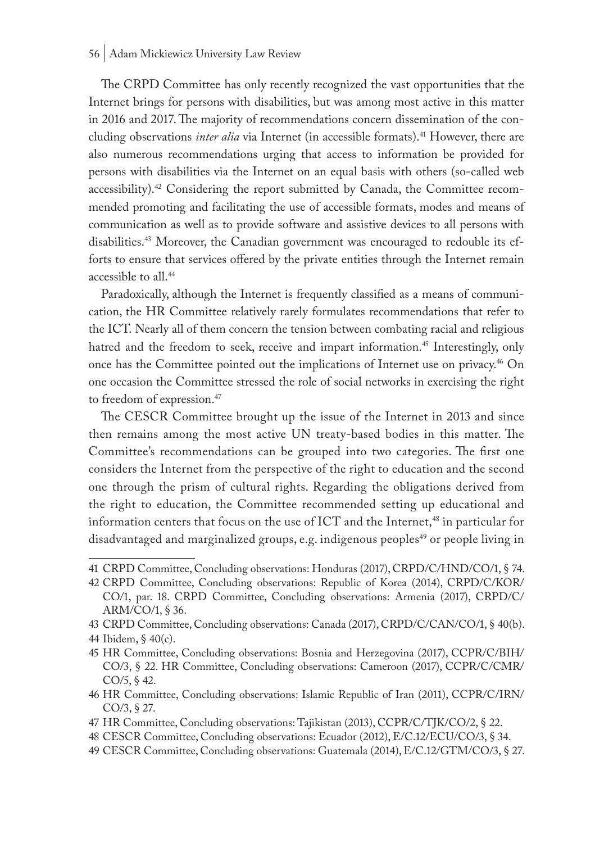#### 56 | Adam Mickiewicz University Law Review

The CRPD Committee has only recently recognized the vast opportunities that the Internet brings for persons with disabilities, but was among most active in this matter in 2016 and 2017. The majority of recommendations concern dissemination of the concluding observations *inter alia* via Internet (in accessible formats).41 However, there are also numerous recommendations urging that access to information be provided for persons with disabilities via the Internet on an equal basis with others (so-called web accessibility).<sup>42</sup> Considering the report submitted by Canada, the Committee recommended promoting and facilitating the use of accessible formats, modes and means of communication as well as to provide software and assistive devices to all persons with disabilities.43 Moreover, the Canadian government was encouraged to redouble its efforts to ensure that services offered by the private entities through the Internet remain accessible to all.<sup>44</sup>

Paradoxically, although the Internet is frequently classified as a means of communication, the HR Committee relatively rarely formulates recommendations that refer to the ICT. Nearly all of them concern the tension between combating racial and religious hatred and the freedom to seek, receive and impart information.<sup>45</sup> Interestingly, only once has the Committee pointed out the implications of Internet use on privacy.46 On one occasion the Committee stressed the role of social networks in exercising the right to freedom of expression.<sup>47</sup>

The CESCR Committee brought up the issue of the Internet in 2013 and since then remains among the most active UN treaty-based bodies in this matter. The Committee's recommendations can be grouped into two categories. The first one considers the Internet from the perspective of the right to education and the second one through the prism of cultural rights. Regarding the obligations derived from the right to education, the Committee recommended setting up educational and information centers that focus on the use of ICT and the Internet,<sup>48</sup> in particular for disadvantaged and marginalized groups, e.g. indigenous peoples<sup>49</sup> or people living in

<sup>41</sup> CRPD Committee, Concluding observations: Honduras (2017), CRPD/C/HND/CO/1, § 74.

<sup>42</sup> CRPD Committee, Concluding observations: Republic of Korea (2014), CRPD/C/KOR/ CO/1, par. 18. CRPD Committee, Concluding observations: Armenia (2017), CRPD/C/ ARM/CO/1, § 36.

<sup>43</sup> CRPD Committee, Concluding observations: Canada (2017), CRPD/C/CAN/CO/1, § 40(b).

<sup>44</sup> Ibidem, § 40(c).

<sup>45</sup> HR Committee, Concluding observations: Bosnia and Herzegovina (2017), CCPR/C/BIH/ CO/3, § 22. HR Committee, Concluding observations: Cameroon (2017), CCPR/C/CMR/ CO/5, § 42.

<sup>46</sup> HR Committee, Concluding observations: Islamic Republic of Iran (2011), CCPR/C/IRN/ CO/3, § 27.

<sup>47</sup> HR Committee, Concluding observations: Tajikistan (2013), CCPR/C/TJK/CO/2, § 22.

<sup>48</sup> CESCR Committee, Concluding observations: Ecuador (2012), E/C.12/ECU/CO/3, § 34.

<sup>49</sup> CESCR Committee, Concluding observations: Guatemala (2014), E/C.12/GTM/CO/3, § 27.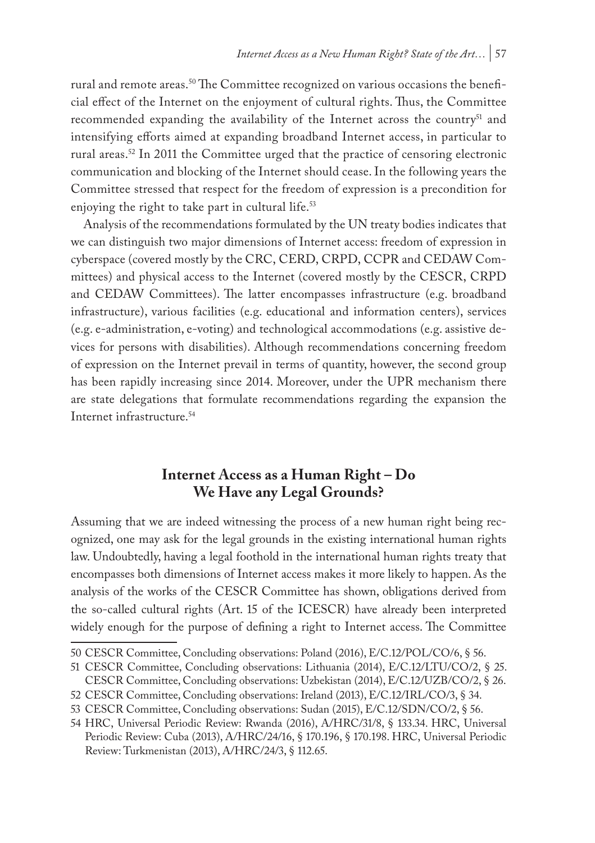rural and remote areas.50 The Committee recognized on various occasions the beneficial effect of the Internet on the enjoyment of cultural rights. Thus, the Committee recommended expanding the availability of the Internet across the country<sup>51</sup> and intensifying efforts aimed at expanding broadband Internet access, in particular to rural areas.52 In 2011 the Committee urged that the practice of censoring electronic communication and blocking of the Internet should cease. In the following years the Committee stressed that respect for the freedom of expression is a precondition for enjoying the right to take part in cultural life.<sup>53</sup>

Analysis of the recommendations formulated by the UN treaty bodies indicates that we can distinguish two major dimensions of Internet access: freedom of expression in cyberspace (covered mostly by the CRC, CERD, CRPD, CCPR and CEDAW Committees) and physical access to the Internet (covered mostly by the CESCR, CRPD and CEDAW Committees). The latter encompasses infrastructure (e.g. broadband infrastructure), various facilities (e.g. educational and information centers), services (e.g. e-administration, e-voting) and technological accommodations (e.g. assistive devices for persons with disabilities). Although recommendations concerning freedom of expression on the Internet prevail in terms of quantity, however, the second group has been rapidly increasing since 2014. Moreover, under the UPR mechanism there are state delegations that formulate recommendations regarding the expansion the Internet infrastructure.54

# **Internet Access as a Human Right – Do We Have any Legal Grounds?**

Assuming that we are indeed witnessing the process of a new human right being recognized, one may ask for the legal grounds in the existing international human rights law. Undoubtedly, having a legal foothold in the international human rights treaty that encompasses both dimensions of Internet access makes it more likely to happen. As the analysis of the works of the CESCR Committee has shown, obligations derived from the so-called cultural rights (Art. 15 of the ICESCR) have already been interpreted widely enough for the purpose of defining a right to Internet access. The Committee

<sup>50</sup> CESCR Committee, Concluding observations: Poland (2016), E/C.12/POL/CO/6, § 56.

<sup>51</sup> CESCR Committee, Concluding observations: Lithuania (2014), E/C.12/LTU/CO/2, § 25. CESCR Committee, Concluding observations: Uzbekistan (2014), E/C.12/UZB/CO/2, § 26.

<sup>52</sup> CESCR Committee, Concluding observations: Ireland (2013), E/C.12/IRL/CO/3, § 34.

<sup>53</sup> CESCR Committee, Concluding observations: Sudan (2015), E/C.12/SDN/CO/2, § 56.

<sup>54</sup> HRC, Universal Periodic Review: Rwanda (2016), A/HRC/31/8, § 133.34. HRC, Universal Periodic Review: Cuba (2013), A/HRC/24/16, § 170.196, § 170.198. HRC, Universal Periodic Review: Turkmenistan (2013), A/HRC/24/3, § 112.65.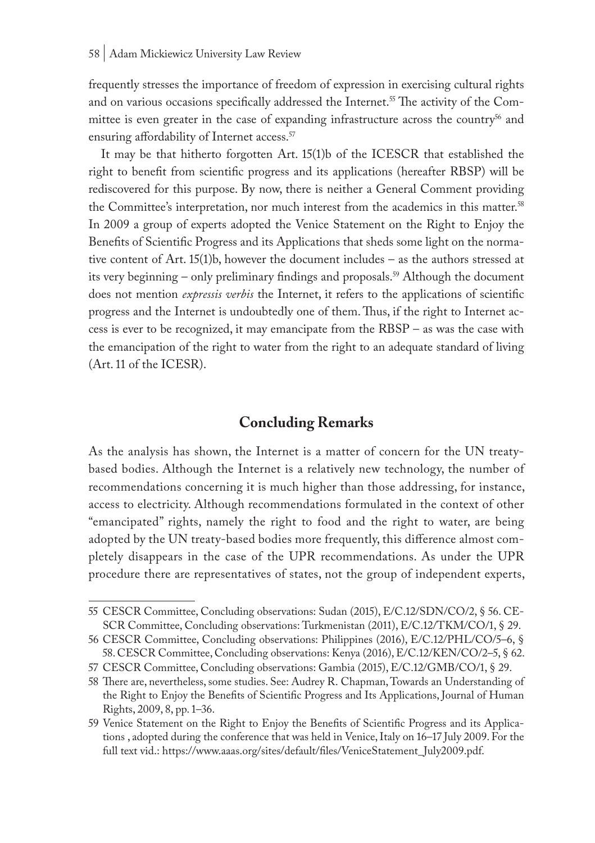frequently stresses the importance of freedom of expression in exercising cultural rights and on various occasions specifically addressed the Internet.55 The activity of the Committee is even greater in the case of expanding infrastructure across the country<sup>56</sup> and ensuring affordability of Internet access.<sup>57</sup>

It may be that hitherto forgotten Art. 15(1)b of the ICESCR that established the right to benefit from scientific progress and its applications (hereafter RBSP) will be rediscovered for this purpose. By now, there is neither a General Comment providing the Committee's interpretation, nor much interest from the academics in this matter.58 In 2009 a group of experts adopted the Venice Statement on the Right to Enjoy the Benefits of Scientific Progress and its Applications that sheds some light on the normative content of Art. 15(1)b, however the document includes – as the authors stressed at its very beginning – only preliminary findings and proposals.<sup>59</sup> Although the document does not mention *expressis verbis* the Internet, it refers to the applications of scientific progress and the Internet is undoubtedly one of them. Thus, if the right to Internet access is ever to be recognized, it may emancipate from the RBSP – as was the case with the emancipation of the right to water from the right to an adequate standard of living (Art. 11 of the ICESR).

# **Concluding Remarks**

As the analysis has shown, the Internet is a matter of concern for the UN treatybased bodies. Although the Internet is a relatively new technology, the number of recommendations concerning it is much higher than those addressing, for instance, access to electricity. Although recommendations formulated in the context of other "emancipated" rights, namely the right to food and the right to water, are being adopted by the UN treaty-based bodies more frequently, this difference almost completely disappears in the case of the UPR recommendations. As under the UPR procedure there are representatives of states, not the group of independent experts,

<sup>55</sup> CESCR Committee, Concluding observations: Sudan (2015), E/C.12/SDN/CO/2, § 56. CE-SCR Committee, Concluding observations: Turkmenistan (2011), E/C.12/TKM/CO/1, § 29.

<sup>56</sup> CESCR Committee, Concluding observations: Philippines (2016), E/C.12/PHL/CO/5–6, § 58. CESCR Committee, Concluding observations: Kenya (2016), E/C.12/KEN/CO/2–5, § 62.

<sup>57</sup> CESCR Committee, Concluding observations: Gambia (2015), E/C.12/GMB/CO/1, § 29.

<sup>58</sup> There are, nevertheless, some studies. See: Audrey R. Chapman, Towards an Understanding of the Right to Enjoy the Benefits of Scientific Progress and Its Applications, Journal of Human Rights, 2009, 8, pp. 1–36.

<sup>59</sup> Venice Statement on the Right to Enjoy the Benefits of Scientific Progress and its Applications , adopted during the conference that was held in Venice, Italy on 16–17 July 2009. For the full text vid.: https://www.aaas.org/sites/default/files/VeniceStatement\_July2009.pdf.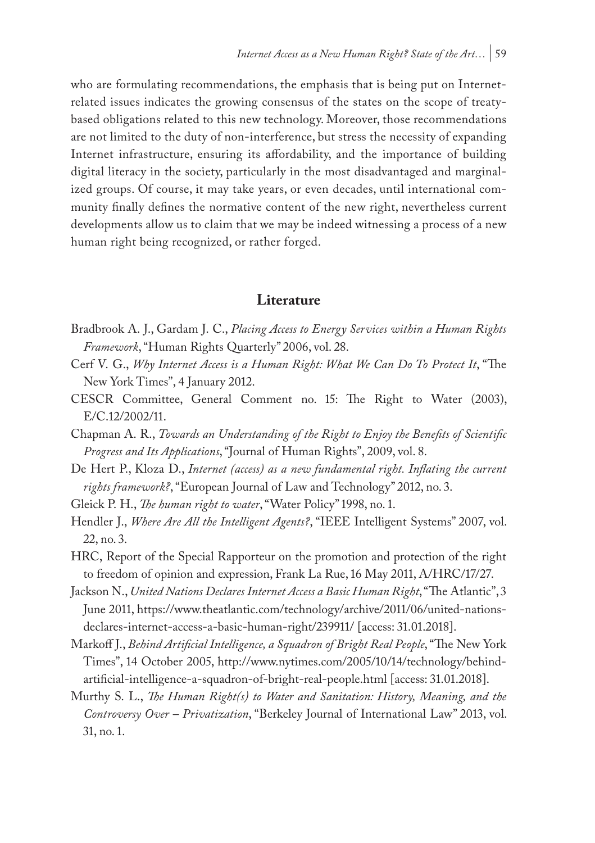who are formulating recommendations, the emphasis that is being put on Internetrelated issues indicates the growing consensus of the states on the scope of treatybased obligations related to this new technology. Moreover, those recommendations are not limited to the duty of non-interference, but stress the necessity of expanding Internet infrastructure, ensuring its affordability, and the importance of building digital literacy in the society, particularly in the most disadvantaged and marginalized groups. Of course, it may take years, or even decades, until international community finally defines the normative content of the new right, nevertheless current developments allow us to claim that we may be indeed witnessing a process of a new human right being recognized, or rather forged.

#### **Literature**

- Bradbrook A. J., Gardam J. C., *Placing Access to Energy Services within a Human Rights Framework*, "Human Rights Quarterly" 2006, vol. 28.
- Cerf V. G., *Why Internet Access is a Human Right: What We Can Do To Protect It*, "The New York Times", 4 January 2012.
- CESCR Committee, General Comment no. 15: The Right to Water (2003), E/C.12/2002/11.
- Chapman A. R., *Towards an Understanding of the Right to Enjoy the Benefits of Scientific Progress and Its Applications*, "Journal of Human Rights", 2009, vol. 8.
- De Hert P., Kloza D., *Internet (access) as a new fundamental right. Inflating the current rights framework?*, "European Journal of Law and Technology" 2012, no. 3.
- Gleick P. H., *The human right to water*, "Water Policy" 1998, no. 1.
- Hendler J., *Where Are All the Intelligent Agents?*, "IEEE Intelligent Systems" 2007, vol. 22, no. 3.
- HRC, Report of the Special Rapporteur on the promotion and protection of the right to freedom of opinion and expression, Frank La Rue, 16 May 2011, A/HRC/17/27.
- Jackson N., *United Nations Declares Internet Access a Basic Human Right*, "The Atlantic", 3 June 2011, https://www.theatlantic.com/technology/archive/2011/06/united-nationsdeclares-internet-access-a-basic-human-right/239911/ [access: 31.01.2018].
- Markoff J., *Behind Artificial Intelligence, a Squadron of Bright Real People*, "The New York Times", 14 October 2005, http://www.nytimes.com/2005/10/14/technology/behindartificial-intelligence-a-squadron-of-bright-real-people.html [access: 31.01.2018].
- Murthy S. L., *The Human Right(s) to Water and Sanitation: History, Meaning, and the Controversy Over – Privatization*, "Berkeley Journal of International Law" 2013, vol. 31, no. 1.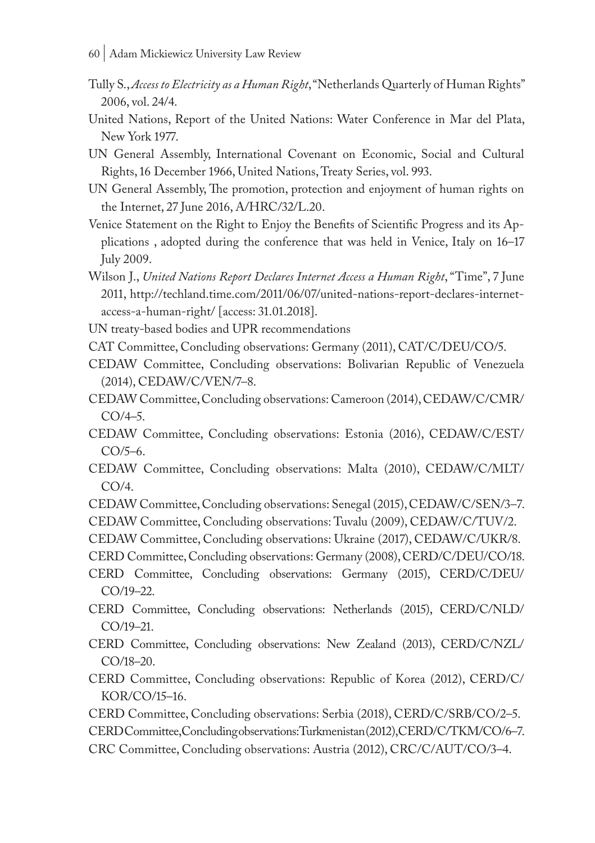- 60 | Adam Mickiewicz University Law Review
- Tully S., *Access to Electricity as a Human Right*, "Netherlands Quarterly of Human Rights" 2006, vol. 24/4.
- United Nations, Report of the United Nations: Water Conference in Mar del Plata, New York 1977.
- UN General Assembly, International Covenant on Economic, Social and Cultural Rights, 16 December 1966, United Nations, Treaty Series, vol. 993.
- UN General Assembly, The promotion, protection and enjoyment of human rights on the Internet, 27 June 2016, A/HRC/32/L.20.
- Venice Statement on the Right to Enjoy the Benefits of Scientific Progress and its Applications , adopted during the conference that was held in Venice, Italy on 16–17 July 2009.
- Wilson J., *United Nations Report Declares Internet Access a Human Right*, "Time", 7 June 2011, http://techland.time.com/2011/06/07/united-nations-report-declares-internetaccess-a-human-right/ [access: 31.01.2018].
- UN treaty-based bodies and UPR recommendations
- CAT Committee, Concluding observations: Germany (2011), CAT/C/DEU/CO/5.
- CEDAW Committee, Concluding observations: Bolivarian Republic of Venezuela (2014), CEDAW/C/VEN/7–8.
- CEDAW Committee, Concluding observations: Cameroon (2014), CEDAW/C/CMR/ CO/4–5.
- CEDAW Committee, Concluding observations: Estonia (2016), CEDAW/C/EST/ CO/5–6.
- CEDAW Committee, Concluding observations: Malta (2010), CEDAW/C/MLT/ CO/4.
- CEDAW Committee, Concluding observations: Senegal (2015), CEDAW/C/SEN/3–7.
- CEDAW Committee, Concluding observations: Tuvalu (2009), CEDAW/C/TUV/2.

CEDAW Committee, Concluding observations: Ukraine (2017), CEDAW/C/UKR/8.

- CERD Committee, Concluding observations: Germany (2008), CERD/C/DEU/CO/18.
- CERD Committee, Concluding observations: Germany (2015), CERD/C/DEU/ CO/19–22.
- CERD Committee, Concluding observations: Netherlands (2015), CERD/C/NLD/ CO/19–21.
- CERD Committee, Concluding observations: New Zealand (2013), CERD/C/NZL/ CO/18–20.
- CERD Committee, Concluding observations: Republic of Korea (2012), CERD/C/ KOR/CO/15–16.
- CERD Committee, Concluding observations: Serbia (2018), CERD/C/SRB/CO/2–5.

CERD Committee, Concluding observations: Turkmenistan (2012), CERD/C/TKM/CO/6–7.

CRC Committee, Concluding observations: Austria (2012), CRC/C/AUT/CO/3–4.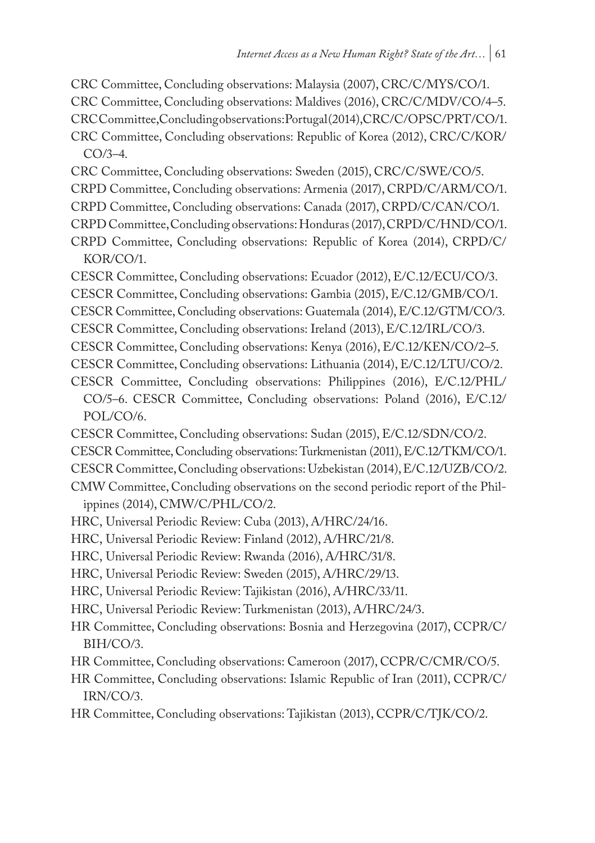- CRC Committee, Concluding observations: Malaysia (2007), CRC/C/MYS/CO/1.
- CRC Committee, Concluding observations: Maldives (2016), CRC/C/MDV/CO/4–5.
- CRC Committee, Concluding observations: Portugal (2014), CRC/C/OPSC/PRT/CO/1.
- CRC Committee, Concluding observations: Republic of Korea (2012), CRC/C/KOR/ CO/3–4.
- CRC Committee, Concluding observations: Sweden (2015), CRC/C/SWE/CO/5.
- CRPD Committee, Concluding observations: Armenia (2017), CRPD/C/ARM/CO/1.
- CRPD Committee, Concluding observations: Canada (2017), CRPD/C/CAN/CO/1.
- CRPD Committee, Concluding observations: Honduras (2017), CRPD/C/HND/CO/1.
- CRPD Committee, Concluding observations: Republic of Korea (2014), CRPD/C/ KOR/CO/1.
- CESCR Committee, Concluding observations: Ecuador (2012), E/C.12/ECU/CO/3.
- CESCR Committee, Concluding observations: Gambia (2015), E/C.12/GMB/CO/1.
- CESCR Committee, Concluding observations: Guatemala (2014), E/C.12/GTM/CO/3.
- CESCR Committee, Concluding observations: Ireland (2013), E/C.12/IRL/CO/3.
- CESCR Committee, Concluding observations: Kenya (2016), E/C.12/KEN/CO/2–5.
- CESCR Committee, Concluding observations: Lithuania (2014), E/C.12/LTU/CO/2.
- CESCR Committee, Concluding observations: Philippines (2016), E/C.12/PHL/ CO/5–6. CESCR Committee, Concluding observations: Poland (2016), E/C.12/ POL/CO/6.
- CESCR Committee, Concluding observations: Sudan (2015), E/C.12/SDN/CO/2.
- CESCR Committee, Concluding observations: Turkmenistan (2011), E/C.12/TKM/CO/1.
- CESCR Committee, Concluding observations: Uzbekistan (2014), E/C.12/UZB/CO/2.
- CMW Committee, Concluding observations on the second periodic report of the Philippines (2014), CMW/C/PHL/CO/2.
- HRC, Universal Periodic Review: Cuba (2013), A/HRC/24/16.
- HRC, Universal Periodic Review: Finland (2012), A/HRC/21/8.
- HRC, Universal Periodic Review: Rwanda (2016), A/HRC/31/8.
- HRC, Universal Periodic Review: Sweden (2015), A/HRC/29/13.
- HRC, Universal Periodic Review: Tajikistan (2016), A/HRC/33/11.
- HRC, Universal Periodic Review: Turkmenistan (2013), A/HRC/24/3.
- HR Committee, Concluding observations: Bosnia and Herzegovina (2017), CCPR/C/ BIH/CO/3.
- HR Committee, Concluding observations: Cameroon (2017), CCPR/C/CMR/CO/5.
- HR Committee, Concluding observations: Islamic Republic of Iran (2011), CCPR/C/ IRN/CO/3.
- HR Committee, Concluding observations: Tajikistan (2013), CCPR/C/TJK/CO/2.